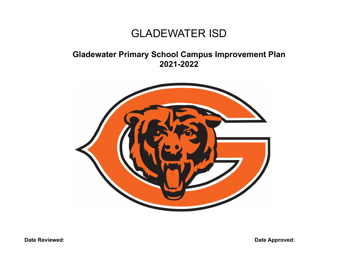## GLADEWATER ISD

## **Gladewater Primary School Campus Improvement Plan 2021-2022**



**Date Reviewed: Date Approved:**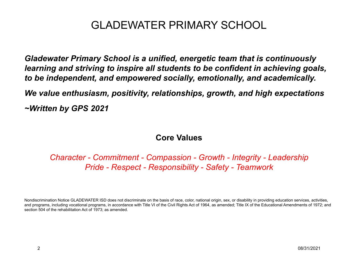*Gladewater Primary School is a unified, energetic team that is continuously learning and striving to inspire all students to be confident in achieving goals, to be independent, and empowered socially, emotionally, and academically.*

*We value enthusiasm, positivity, relationships, growth, and high expectations*

*~Written by GPS 2021*

### **Core Values**

*Character - Commitment - Compassion - Growth - Integrity - Leadership Pride - Respect - Responsibility - Safety - Teamwork*

Nondiscrimination Notice GLADEWATER ISD does not discriminate on the basis of race, color, national origin, sex, or disability in providing education services, activities, and programs, including vocational programs, in accordance with Title VI of the Civil Rights Act of 1964, as amended; Title IX of the Educational Amendments of 1972; and section 504 of the rehabilitation Act of 1973; as amended.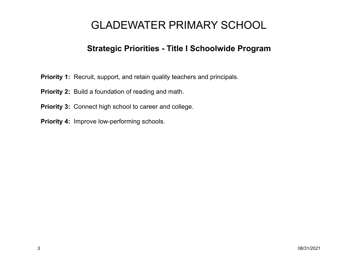### **Strategic Priorities - Title I Schoolwide Program**

- **Priority 1:** Recruit, support, and retain quality teachers and principals.
- **Priority 2:** Build a foundation of reading and math.
- **Priority 3:** Connect high school to career and college.
- **Priority 4:** Improve low-performing schools.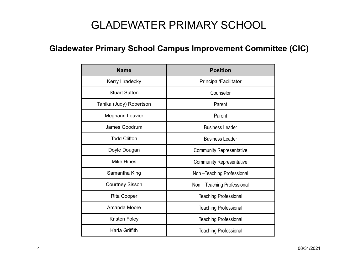## **Gladewater Primary School Campus Improvement Committee (CIC)**

| <b>Name</b>             | <b>Position</b>                 |
|-------------------------|---------------------------------|
| Kerry Hradecky          | Principal/Facilitator           |
| <b>Stuart Sutton</b>    | Counselor                       |
| Tanika (Judy) Robertson | Parent                          |
| Meghann Louvier         | Parent                          |
| James Goodrum           | <b>Business Leader</b>          |
| <b>Todd Clifton</b>     | <b>Business Leader</b>          |
| Doyle Dougan            | <b>Community Representative</b> |
| Mike Hines              | <b>Community Representative</b> |
| Samantha King           | Non-Teaching Professional       |
| <b>Courtney Sisson</b>  | Non - Teaching Professional     |
| <b>Rita Cooper</b>      | <b>Teaching Professional</b>    |
| Amanda Moore            | <b>Teaching Professional</b>    |
| Kristen Foley           | <b>Teaching Professional</b>    |
| Karla Griffith          | <b>Teaching Professional</b>    |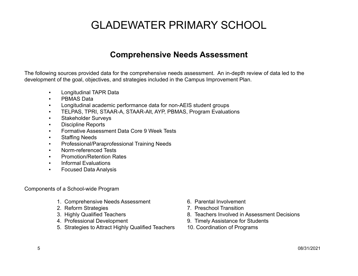### **Comprehensive Needs Assessment**

The following sources provided data for the comprehensive needs assessment. An in-depth review of data led to the development of the goal, objectives, and strategies included in the Campus Improvement Plan.

- Longitudinal TAPR Data
- PBMAS Data
- Longitudinal academic performance data for non-AEIS student groups
- TELPAS, TPRI, STAAR-A, STAAR-Alt, AYP, PBMAS, Program Evaluations
- Stakeholder Surveys
- Discipline Reports
- Formative Assessment Data Core 9 Week Tests
- **Staffing Needs**
- Professional/Paraprofessional Training Needs
- Norm-referenced Tests
- **Promotion/Retention Rates**
- Informal Evaluations
- Focused Data Analysis

Components of a School-wide Program

- 1. Comprehensive Needs Assessment 6. Parental Involvement
- 
- 
- 
- 5. Strategies to Attract Highly Qualified Teachers 10. Coordination of Programs
- 
- 2. Reform Strategies 7. Preschool Transition
- 3. Highly Qualified Teachers **8. Teachers Involved in Assessment Decisions**
- 4. Professional Development 9. Timely Assistance for Students
	-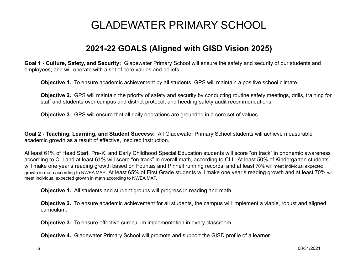### **2021-22 GOALS (Aligned with GISD Vision 2025)**

**Goal 1 - Culture, Safety, and Security:** Gladewater Primary School will ensure the safety and security of our students and employees, and will operate with a set of core values and beliefs.

**Objective 1.** To ensure academic achievement by all students, GPS will maintain a positive school climate.

**Objective 2.** GPS will maintain the priority of safety and security by conducting routine safety meetings, drills, training for staff and students over campus and district protocol, and heeding safety audit recommendations.

**Objective 3.** GPS will ensure that all daily operations are grounded in a core set of values.

**Goal 2 - Teaching, Learning, and Student Success:** All Gladewater Primary School students will achieve measurable academic growth as a result of effective, inspired instruction.

At least 61% of Head Start, Pre-K, and Early Childhood Special Education students will score "on track" in phonemic awareness according to CLI and at least 61% will score "on track" in overall math, according to CLI. At least 50% of Kindergarten students will make one year's reading growth based on Fountas and Pinnell running records and at least 70% will meet individual expected growth in math according to NWEA MAP. At least 65% of First Grade students will make one year's reading growth and at least 70% will meet individual expected growth in math according to NWEA MAP.

**Objective 1.** All students and student groups will progress in reading and math.

**Objective 2.** To ensure academic achievement for all students, the campus will implement a viable, robust and aligned curriculum.

**Objective 3.** To ensure effective curriculum implementation in every classroom.

**Objective 4.** Gladewater Primary School will promote and support the GISD profile of a learner.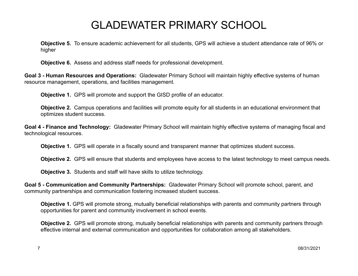**Objective 5.** To ensure academic achievement for all students, GPS will achieve a student attendance rate of 96% or higher

**Objective 6.** Assess and address staff needs for professional development.

**Goal 3 - Human Resources and Operations:** Gladewater Primary School will maintain highly effective systems of human resource management, operations, and facilities management.

**Objective 1.** GPS will promote and support the GISD profile of an educator.

**Objective 2.** Campus operations and facilities will promote equity for all students in an educational environment that optimizes student success.

**Goal 4 - Finance and Technology:** Gladewater Primary School will maintain highly effective systems of managing fiscal and technological resources.

**Objective 1.** GPS will operate in a fiscally sound and transparent manner that optimizes student success.

**Objective 2.** GPS will ensure that students and employees have access to the latest technology to meet campus needs.

**Objective 3.** Students and staff will have skills to utilize technology.

**Goal 5 - Communication and Community Partnerships:** Gladewater Primary School will promote school, parent, and community partnerships and communication fostering increased student success.

**Objective 1.** GPS will promote strong, mutually beneficial relationships with parents and community partners through opportunities for parent and community involvement in school events.

**Objective 2.** GPS will promote strong, mutually beneficial relationships with parents and community partners through effective internal and external communication and opportunities for collaboration among all stakeholders.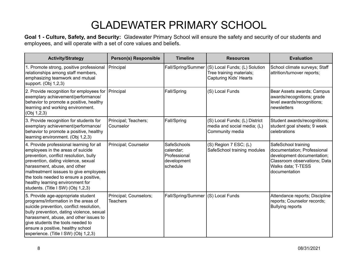**Goal 1 - Culture, Safety, and Security:** Gladewater Primary School will ensure the safety and security of our students and employees, and will operate with a set of core values and beliefs.

| <b>Activity/Strategy</b>                                                                                                                                                                                                                                                                                                                                     | <b>Person(s) Responsible</b>              | <b>Timeline</b>                                                            | <b>Resources</b>                                                                           | <b>Evaluation</b>                                                                                                                                       |
|--------------------------------------------------------------------------------------------------------------------------------------------------------------------------------------------------------------------------------------------------------------------------------------------------------------------------------------------------------------|-------------------------------------------|----------------------------------------------------------------------------|--------------------------------------------------------------------------------------------|---------------------------------------------------------------------------------------------------------------------------------------------------------|
| 1. Promote strong, positive professional<br>relationships among staff members,<br>emphasizing teamwork and mutual<br>support. (Obj 1,2,3)                                                                                                                                                                                                                    | Principal                                 | Fall/Spring/Summer                                                         | (S) Local Funds; (L) Solution<br>Tree training materials;<br><b>Capturing Kids' Hearts</b> | School climate surveys; Staff<br>attrition/turnover reports;                                                                                            |
| 2. Provide recognition for employees for<br>exemplary achievement/performance/<br>behavior to promote a positive, healthy<br>learning and working environment.<br>(Obj 1,2,3)                                                                                                                                                                                | Principal                                 | Fall/Spring                                                                | (S) Local Funds                                                                            | Bear Assets awards; Campus<br>awards/recognitions; grade<br>level awards/recognitions;<br>newsletters                                                   |
| 3. Provide recognition for students for<br>exemplary achievement/performance/<br>behavior to promote a positive, healthy<br>learning environment. (Obj 1,2,3)                                                                                                                                                                                                | Principal; Teachers;<br>Counselor         | Fall/Spring                                                                | (S) Local Funds; (L) District<br>media and social media; (L)<br>Community media            | Student awards/recognitions;<br>student goal sheets; 9 week<br>celebrations                                                                             |
| 4. Provide professional learning for all<br>employees in the areas of suicide<br>prevention, conflict resolution, bully<br>prevention, dating violence, sexual<br>harassment, abuse, and other<br>maltreatment isssues to give employees<br>the tools needed to ensure a positive,<br>healthy learning environment for<br>students. (Title I SW) (Obj 1,2,3) | Principal; Counselor                      | <b>SafeSchools</b><br>calendar;<br>Professional<br>development<br>schedule | (S) Region 7 ESC; (L)<br>SafeSchool training modules                                       | SafeSchool training<br>documentation; Professional<br>development documentation;<br>Classroom observations; Data<br>Walks data; T-TESS<br>documentation |
| 5. Provide age-appropriate student<br>programs/information in the areas of<br>suicide prevention, conflict resolution,<br>bully prevention, dating violence, sexual<br>harassment, abuse, and other issues to<br>give students the tools needed to<br>ensure a positive, healthy school<br>experience. (Title I SW) (Obj 1,2,3)                              | Principal; Counselors;<br><b>Teachers</b> | Fall/Spring/Summer (S) Local Funds                                         |                                                                                            | Attendance reports; Discipline<br>reports; Counselor records;<br><b>Bullying reports</b>                                                                |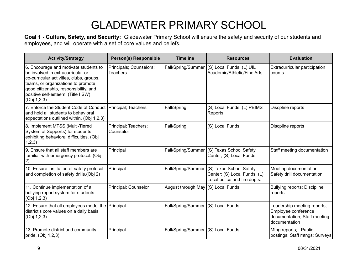**Goal 1 - Culture, Safety, and Security:** Gladewater Primary School will ensure the safety and security of our students and employees, and will operate with a set of core values and beliefs.

| <b>Activity/Strategy</b>                                                                                                                                                                                                                                   | <b>Person(s) Responsible</b>               | <b>Timeline</b>                    | <b>Resources</b>                                                                        | <b>Evaluation</b>                                                                                   |
|------------------------------------------------------------------------------------------------------------------------------------------------------------------------------------------------------------------------------------------------------------|--------------------------------------------|------------------------------------|-----------------------------------------------------------------------------------------|-----------------------------------------------------------------------------------------------------|
| 6. Encourage and motivate students to<br>be involved in extracurricular or<br>co-curricular activities, clubs, groups,<br>teams, or organizations to promote<br>good citizenship, responsibility, and<br>positive self-esteem. (Title I SW)<br>(Obj 1,2,3) | Principals; Counselors;<br><b>Teachers</b> | Fall/Spring/Summer                 | (S) Local Funds; (L) UIL<br>Academic/Athletic/Fine Arts:                                | Extracurricular participation<br>counts                                                             |
| 7. Enforce the Student Code of Conduct   Principal; Teachers<br>and hold all students to behavioral<br>expectations outlined within. (Obj 1,2,3)                                                                                                           |                                            | Fall/Spring                        | (S) Local Funds; (L) PEIMS<br>Reports                                                   | Discpline reports                                                                                   |
| 8. Implement MTSS (Multi-Tiered<br>System of Supports) for students<br>exhibiting behavioral difficulties. (Obj<br>1,2,3)                                                                                                                                  | Principal; Teachers;<br>Counselor          | Fall/Spring                        | (S) Local Funds;                                                                        | Discpline reports                                                                                   |
| 9. Ensure that all staff members are<br>familiar with emergency protocol. (Obj<br> 2)                                                                                                                                                                      | Principal                                  | Fall/Spring/Summer                 | (S) Texas School Safety<br>Center; (S) Local Funds                                      | Staff meeting documentation                                                                         |
| 10. Ensure institution of safety protocol<br>and completion of safety drills. (Obj 2)                                                                                                                                                                      | Principal                                  | Fall/Spring/Summer                 | (S) Texas School Safety<br>Center; (S) Local Funds; (L)<br>Local police and fire depts. | Meeting documentation;<br>Safety drill documentation                                                |
| 11. Continue implementation of a<br>bullying report system for students.<br>(Obj 1,2,3)                                                                                                                                                                    | Principal; Counselor                       | August through May (S) Local Funds |                                                                                         | <b>Bullying reports; Discipline</b><br>reports                                                      |
| 12. Ensure that all employees model the Principal<br>district's core values on a daily basis.<br>(Obj 1,2,3)                                                                                                                                               |                                            | Fall/Spring/Summer (S) Local Funds |                                                                                         | Leadership meeting reports;<br>Employee conference<br>documentation; Staff meeting<br>documentation |
| 13. Promote district and community<br>pride. (Obj 1,2,3)                                                                                                                                                                                                   | Principal                                  | Fall/Spring/Summer                 | (S) Local Funds                                                                         | Mtng reports; ; Public<br>postings; Staff mtngs; Surveys                                            |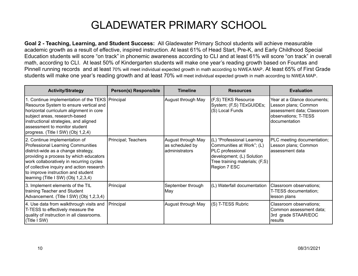**Goal 2 - Teaching, Learning, and Student Success:** All Gladewater Primary School students will achieve measurable academic growth as a result of effective, inspired instruction. At least 61% of Head Start, Pre-K, and Early Childhood Special Education students will score "on track" in phonemic awareness according to CLI and at least 61% will score "on track" in overall math, according to CLI. At least 50% of Kindergarten students will make one year's reading growth based on Fountas and Pinnell running records and at least 70% will meet individual expected growth in math according to NWEA MAP. At least 65% of First Grade students will make one year's reading growth and at least 70% will meet individual expected growth in math according to NWEA MAP.

| <b>Activity/Strategy</b>                                                                                                                                                                                                                                                                                                  | <b>Person(s) Responsible</b> | <b>Timeline</b>                                         | <b>Resources</b>                                                                                                                                           | <b>Evaluation</b>                                                                                                          |
|---------------------------------------------------------------------------------------------------------------------------------------------------------------------------------------------------------------------------------------------------------------------------------------------------------------------------|------------------------------|---------------------------------------------------------|------------------------------------------------------------------------------------------------------------------------------------------------------------|----------------------------------------------------------------------------------------------------------------------------|
| 1. Continue implementation of the TEKS   Principal<br>Resource System to ensure vertical and<br>horizontal curriculum alignment in core<br>subject areas, research-based<br>instructional strategies, and aligned<br>assessment to monitor student<br>progress. (Title I SW) (Obj 1,2,4)                                  |                              | August through May                                      | (F,S) TEKS Resource<br>System; (F,S) TExGUIDEs;<br>(S) Local Funds                                                                                         | Year at a Glance documents:<br>Lesson plans; Common<br>assessment data; Classroom<br>observations; T-TESS<br>documentation |
| 2. Continue implementation of<br>Professional Learning Communities<br>district-wide as a change strategy,<br>providing a process by which educators<br>work collaboratively in recurring cycles<br>of collective inquiry and action research<br>to improve instruction and student<br>learning (Title I SW) (Obj 1,2,3,4) | Principal; Teachers          | August through May<br>as scheduled by<br>administrators | (L) "Professional Learning<br>Communities at Work"; (L)<br>PLC professional<br>development; (L) Solution<br>Tree training materials; (F,S)<br>Region 7 ESC | PLC meeting documentation;<br>Lesson plans; Common<br>assessment data                                                      |
| 3. Implement elements of the TIL<br>training Teacher and Student<br>Advancement. (Title I SW) (Obj 1,2,3,4)                                                                                                                                                                                                               | Principal                    | September through<br>May                                | (L) Waterfall documentation                                                                                                                                | Classroom observations;<br>T-TESS documentation;<br>lesson plans                                                           |
| 4. Use data from walkthrough visits and<br>T-TESS to effectively measure the<br>quality of instruction in all classrooms.<br>(Title I SW)                                                                                                                                                                                 | Principal                    | August through May                                      | (S) T-TESS Rubric                                                                                                                                          | Classroom observations;<br>Common assessment data;<br>3rd grade STAAR/EOC<br>results                                       |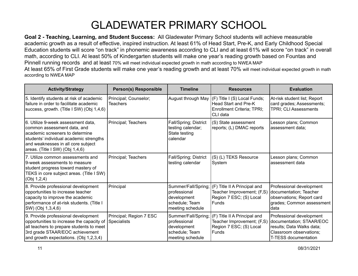**Goal 2 - Teaching, Learning, and Student Success:** All Gladewater Primary School students will achieve measurable academic growth as a result of effective, inspired instruction. At least 61% of Head Start, Pre-K, and Early Childhood Special Education students will score "on track" in phonemic awareness according to CLI and at least 61% will score "on track" in overall math, according to CLI. At least 50% of Kindergarten students will make one year's reading growth based on Fountas and Pinnell running records and at least 70% will meet individual expected growth in math according to NWEA MAP At least 65% of First Grade students will make one year's reading growth and at least 70% will meet individual expected growth in math according to NWEA MAP

| <b>Activity/Strategy</b>                                                                                                                                                                                                 | <b>Person(s) Responsible</b>                  | <b>Timeline</b>                                                                          | <b>Resources</b>                                                                                      | <b>Evaluation</b>                                                                                                                           |
|--------------------------------------------------------------------------------------------------------------------------------------------------------------------------------------------------------------------------|-----------------------------------------------|------------------------------------------------------------------------------------------|-------------------------------------------------------------------------------------------------------|---------------------------------------------------------------------------------------------------------------------------------------------|
| 5. Identify students at risk of academic<br>failure in order to facilitate academic<br>success, growth. (Title I SW) (Obj 1,4,6)                                                                                         | Principal; Counselor;<br><b>Teachers</b>      | August through May                                                                       | (F) Title I (S) Local Funds;<br><b>Head Start and Pre-K</b><br>Enrollment Criteria; TPRI;<br>CLI data | At-risk student list; Report<br>card grades; Assessments;<br><b>TPRI: CLI Assessments</b>                                                   |
| 6. Utilize 9-week assessment data,<br>common assessment data, and<br>academic screeners to determine<br>students' individual academic strengths<br>and weaknesses in all core subject<br>areas. (Title I SW) (Obj 1,4,6) | Principal; Teachers                           | Fall/Spring; District<br>testing calendar;<br>State testing<br>calendar                  | (S) State assessment<br>reports; (L) DMAC reports                                                     | Lesson plans; Common<br>assessment data;                                                                                                    |
| 7. Utilize common assessments and<br>9-week assessments to measure<br>student progress toward mastery of<br>TEKS in core subject areas. (Title I SW)<br>(Obj 1,2,4)                                                      | Principal; Teachers                           | Fall/Spring; District<br>testing calendar                                                | (S) (L) TEKS Resource<br>System                                                                       | Lesson plans; Common<br>assessment data                                                                                                     |
| 8. Provide professional development<br>opportunities to increase teacher<br>capacity to improve the academic<br>performance of at-risk students. (Title I<br>SW) (Obj 1,3,4,6)                                           | Principal                                     | Summer/Fall/Spring;<br>professional<br>development<br>schedule; Team<br>meeting schedule | (F) Title II A Principal and<br>Teacher Improvement; (F,S)<br>Region 7 ESC; (S) Local<br>Funds        | Professional development<br>documentation; Teacher<br>observations; Report card<br>grades; Common assessment<br>data                        |
| 9. Provide professional development<br>opportunities to increase the capacity of<br>all teachers to prepare students to meet<br>3rd grade STAAR/EOC achievement<br>and growth expectations. (Obj 1,2,3,4)                | Principal; Region 7 ESC<br><b>Specialists</b> | Summer/Fall/Spring;<br>professional<br>development<br>schedule; Team<br>meeting schedule | (F) Title II A Principal and<br>Teacher Improvement; (F,S)<br>Region 7 ESC; (S) Local<br>Funds        | Professional development<br>documentation; STAAR/EOC<br>results; Data Walks data;<br>Classroom observations;<br><b>T-TESS documentation</b> |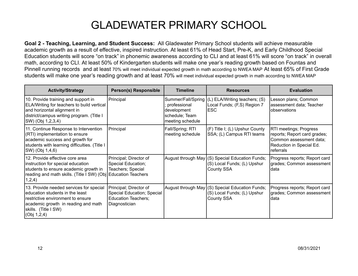**Goal 2 - Teaching, Learning, and Student Success:** All Gladewater Primary School students will achieve measurable academic growth as a result of effective, inspired instruction. At least 61% of Head Start, Pre-K, and Early Childhood Special Education students will score "on track" in phonemic awareness according to CLI and at least 61% will score "on track" in overall math, according to CLI. At least 50% of Kindergarten students will make one year's reading growth based on Fountas and Pinnell running records and at least 70% will meet individual expected growth in math according to NWEA MAP At least 65% of First Grade students will make one year's reading growth and at least 70% will meet individual expected growth in math according to NWEA MAP

| <b>Activity/Strategy</b>                                                                                                                                                                        | <b>Person(s) Responsible</b>                                                                        | <b>Timeline</b>                                                                         | <b>Resources</b>                                                                                    | <b>Evaluation</b>                                                                                                          |
|-------------------------------------------------------------------------------------------------------------------------------------------------------------------------------------------------|-----------------------------------------------------------------------------------------------------|-----------------------------------------------------------------------------------------|-----------------------------------------------------------------------------------------------------|----------------------------------------------------------------------------------------------------------------------------|
| 10. Provide training and support in<br>ELA/Writing for teachers to build vertical<br>and horizontal alignment in<br>district/campus writing program. (Title I<br>SW) (Obj 1,2,3,4)              | Principal                                                                                           | Summer/Fall/Spring<br>professional<br>development<br>schedule; Team<br>meeting schedule | (L) ELA/Writing teachers; (S)<br>Local Funds; (F,S) Region 7<br>ESC                                 | Lesson plans; Common<br>assessment data; Teacher<br>observations                                                           |
| 11. Continue Response to Intervention<br>(RTI) implementation to ensure<br>academic success and growth for<br>students with learning difficulties. (Title I<br>SW) (Obj 1,4,6)                  | Principal                                                                                           | Fall/Spring; RTI<br>meeting schedule                                                    | (F) Title I; (L) Upshur County<br>SSA; (L) Campus RTI teams                                         | RTI meetings; Progress<br>reports; Report card grades;<br>Common assessment data;<br>Reduction in Special Ed.<br>referrals |
| 12. Provide effective core area<br>instruction for special education<br>students to ensure academic growth in<br>reading and math skills. (Title I SW) (Obj Education Teachers<br>1,2,4)        | Principal; Director of<br>Special Education;<br>Teachers; Special                                   |                                                                                         | August through May (S) Special Education Funds;<br>(S) Local Funds; (L) Upshur<br><b>County SSA</b> | Progress reports; Report card<br>grades; Common assessment<br>data                                                         |
| 13. Provide needed services for special<br>education students in the least<br>restrictive environment to ensure<br>academic growth in reading and math<br>skills. (Title I SW)<br>(Obj 1, 2, 4) | Principal; Director of<br>Special Education; Special<br><b>Education Teachers;</b><br>Diagnostician |                                                                                         | August through May (S) Special Education Funds;<br>(S) Local Funds; (L) Upshur<br>County SSA        | Progress reports; Report card<br>grades; Common assessment<br>data                                                         |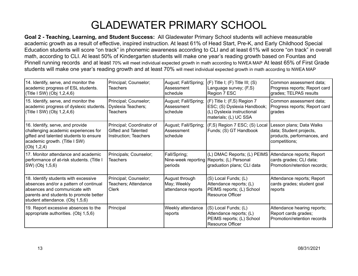**Goal 2 - Teaching, Learning, and Student Success:** All Gladewater Primary School students will achieve measurable academic growth as a result of effective, inspired instruction. At least 61% of Head Start, Pre-K, and Early Childhood Special Education students will score "on track" in phonemic awareness according to CLI and at least 61% will score "on track" in overall math, according to CLI. At least 50% of Kindergarten students will make one year's reading growth based on Fountas and Pinnell running records and at least 70% will meet individual expected growth in math according to NWEA MAP At least 65% of First Grade students will make one year's reading growth and at least 70% will meet individual expected growth in math according to NWEA MAP

| 14. Identify, serve, and monitor the<br>academic progress of ESL students.<br>(Title I SW) (Obj 1,2,4,6)                                                                                      | Principal; Counselor;<br><b>Teachers</b>                                  | August; Fall/Spring;<br>Assessment<br>schedule      | $(F)$ Title I; $(F)$ Title III; $(S)$<br>Language survey; (F,S)<br>Region 7 ESC                                   | Common assessment data:<br>Progress reports; Report card<br>grades; TELPAS results                  |
|-----------------------------------------------------------------------------------------------------------------------------------------------------------------------------------------------|---------------------------------------------------------------------------|-----------------------------------------------------|-------------------------------------------------------------------------------------------------------------------|-----------------------------------------------------------------------------------------------------|
| 15. Identify, serve, and monitor the<br>academic progress of dyslexic students.<br>(Title I SW) (Obj 1,2,4,6)                                                                                 | Principal; Counselor;<br>Dyslexia Teachers;<br><b>Teachers</b>            | August; Fall/Spring;<br>Assessment<br>schedule      | (F) Title I; (F,S) Region 7<br>ESC; (S) Dyslexia Handbook;<br>(L) Dyslexia instructional<br>materials; (L) UC SSA | Common assessment data;<br>Progress reports; Report card<br>grades                                  |
| 16. Identify, serve, and provide<br>challenging academic experiences for<br>gifted and talented students to ensure<br>academic growth. (Title I SW)<br>(Obj 1, 2, 4)                          | Principal; Coordinator of<br>Gifted and Talented<br>Instruction; Teachers | August; Fall/Spring;<br>Assessment<br>schedule      | (F,S) Region 7 ESC; (S) Local<br>Funds; (S) GT Handbook                                                           | Lesson plans; Data Walks<br>data; Student projects,<br>products, performances, and<br>competitions; |
| 17. Monitor attendance and academic<br>performance of at-risk students. (Title I<br>SW) (Obj 1,5,6)                                                                                           | Principals; Counselor;<br><b>Teachers</b>                                 | Fall/Spring;<br>periods                             | (L) DMAC Reports; (L) PEIMS<br>Nine-week reporting Reports; (L) Personal<br>graduation plans; CLI data            | Attendance reports; Report<br>cards grades; CLI data;<br>Promotion/retention records;               |
| 18. Identify students with excessive<br>absences and/or a pattern of continual<br>labsences and communicate with<br>parents and students to promote better<br>student attendance. (Obj 1,5,6) | Principal; Counselor;<br>Teachers; Attendance<br>Clerk                    | August through<br>May; Weekly<br>attendance reports | (S) Local Funds; (L)<br>Attendance reports; (L)<br>PEIMS reports; (L) School<br><b>Resource Officer</b>           | Attendance reports; Report<br>cards grades; student goal<br>reports                                 |
| 19. Report excessive absences to the<br>appropriate authorities. (Obj 1,5,6)                                                                                                                  | Principal                                                                 | Weekly attendance<br>reports                        | (S) Local Funds; (L)<br>Attendance reports; (L)<br>PEIMS reports; (L) School<br><b>Resource Officer</b>           | Attendance hearing reports;<br>Report cards grades;<br>Promotion/retention records                  |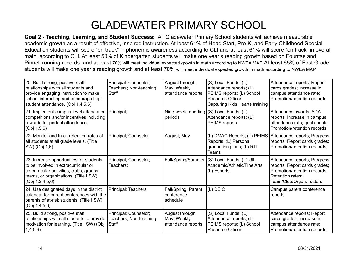**Goal 2 - Teaching, Learning, and Student Success:** All Gladewater Primary School students will achieve measurable academic growth as a result of effective, inspired instruction. At least 61% of Head Start, Pre-K, and Early Childhood Special Education students will score "on track" in phonemic awareness according to CLI and at least 61% will score "on track" in overall math, according to CLI. At least 50% of Kindergarten students will make one year's reading growth based on Fountas and Pinnell running records and at least 70% will meet individual expected growth in math according to NWEA MAP At least 65% of First Grade students will make one year's reading growth and at least 70% will meet individual expected growth in math according to NWEA MAP

| 20. Build strong, positive staff<br>relationships with all students and<br>provide engaging instruction to make<br>school interesting and encourage high<br>student attendance. (Obj 1,4,5,6) | Principal; Counselor;<br>Teachers; Non-teaching<br>Staff | August through<br>May; Weekly<br>attendance reports | (S) Local Funds; (L)<br>Attendance reports; (L)<br>PEIMS reports; (L) School<br><b>Resource Officer</b><br>Capturing Kids Hearts training | Attendance reports; Report<br>cards grades; Increase in<br>campus attendance rate;<br>Promotion/retention records                             |
|-----------------------------------------------------------------------------------------------------------------------------------------------------------------------------------------------|----------------------------------------------------------|-----------------------------------------------------|-------------------------------------------------------------------------------------------------------------------------------------------|-----------------------------------------------------------------------------------------------------------------------------------------------|
| 21. Implement campus-level attendance<br>competitions and/or incentives including<br>rewards for perfect attendance.<br>(Obj 1,5,6)                                                           | Principal;                                               | Nine-week reporting (S) Local Funds; (L)<br>periods | Attendance reports; (L)<br>PEIMS reports                                                                                                  | Attendance awards; ADA<br>reports; Increase in campus<br>attendance rate; goal sheets<br>Promotion/retention records                          |
| 22. Monitor and track retention rates of<br>all students at all grade levels. (Title I<br>SW) (Obj 1,6)                                                                                       | Principal; Counselor                                     | August; May                                         | (L) DMAC Reports; (L) PEIMS<br>Reports; (L) Personal<br>graduation plans; (L) RTI<br>Teams                                                | Attendance reports; Progress<br>reports; Report cards grades;<br>Promotion/retention records:                                                 |
| 23. Increase opportunities for students<br>to be involved in extracurricular or<br>co-curricular activities, clubs, groups,<br>teams, or organizations. (Title I SW)<br>(Obj 1, 2, 4, 5, 6)   | Principal; Counselor;<br>Teachers;                       | Fall/Spring/Summer                                  | (S) Local Funds; (L) UIL<br>Academic/Athletic/Fine Arts;<br>(L) Esports                                                                   | Attendance reports; Progress<br>reports; Report cards grades;<br>Promotion/retention records;<br>Retention rates;<br>Team/Club/Organ. rosters |
| 24. Use designated days in the district<br>calendar for parent conferences with the<br>parents of at-risk students. (Title I SW)<br>(Obj 1, 4, 5, 6)                                          | Principal; Teachers                                      | Fall/Spring; Parent<br>conference<br>schedule       | (L) DEIC                                                                                                                                  | Campus parent conference<br>reports                                                                                                           |
| 25. Build strong, positive staff<br>relationships with all students to provide<br>motivation for learning. (Title I SW) (Obj<br>1,4,5,6)                                                      | Principal; Counselor;<br>Teachers; Non-teaching<br>Staff | August through<br>May; Weekly<br>attendance reports | (S) Local Funds; (L)<br>Attendance reports; (L)<br>PEIMS reports; (L) School<br><b>Resource Officer</b>                                   | Attendance reports; Report<br>cards grades; Increase in<br>campus attendance rate;<br>Promotion/retention records;                            |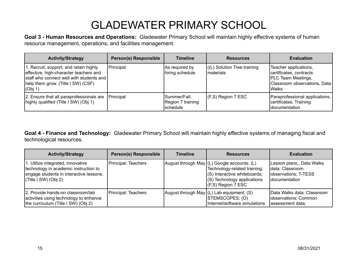**Goal 3 - Human Resources and Operations:** Gladewater Primary School will maintain highly effective systems of human resource management, operations, and facilities management.

| <b>Activity/Strategy</b>                                                                                                                                                      | <b>Person(s) Responsible</b> | <b>Timeline</b>                                      | <b>Resources</b>                         | <b>Evaluation</b>                                                                                                 |
|-------------------------------------------------------------------------------------------------------------------------------------------------------------------------------|------------------------------|------------------------------------------------------|------------------------------------------|-------------------------------------------------------------------------------------------------------------------|
| 1. Recruit, support, and retain highly<br>effective, high-character teachers and<br>staff who connect well with students and<br>help them grow. (Title I SW) (CSF)<br>(Obj 1) | Principal                    | As required by<br>hiring schedule                    | ((L) Solution Tree training<br>materials | Teacher applications,<br>certificates, contracts<br>PLC Team Meetings,<br>Classroom observations, Data<br>l Walks |
| 2. Ensure that all paraprofessionals are<br>highly qualified (Title I SW) (Obj 1)                                                                                             | Principal                    | Summer/Fall;<br>Region 7 training<br><b>Schedule</b> | $ $ (F,S) Region 7 ESC                   | Paraprofessional applications,<br>certificates; Training<br>Idocumentation                                        |

**Goal 4 - Finance and Technology:** Gladewater Primary School will maintain highly effective systems of managing fiscal and technological resources.

| <b>Activity/Strategy</b>                                                                                                                          | <b>Person(s) Responsible</b> | <b>Timeline</b> | <b>Resources</b>                                                                                                                                                        | <b>Evaluation</b>                                                                             |
|---------------------------------------------------------------------------------------------------------------------------------------------------|------------------------------|-----------------|-------------------------------------------------------------------------------------------------------------------------------------------------------------------------|-----------------------------------------------------------------------------------------------|
| 1. Utilize integrated, innovative<br>technology in academic instruction to<br>engage students in interactive lessons.<br>$ $ (Title I SW) (Obj 2) | Principal; Teachers          |                 | August through May (L) Google accounts; (L)<br>Technology-related training;<br>(S) Interactive whiteboards;<br>$ $ (S) Technology applications<br>$(K, S)$ Region 7 ESC | Lesson plans;, Data Walks<br>data; Classroom<br>observations; T-TESS<br><b>Idocumentation</b> |
| 2. Provide hands-on classroom/lab<br>activities using technology to enhance<br>the curriculum (Title I SW) (Obj 2)                                | Principal; Teachers          |                 | August through May $(L)$ Lab equipment; (S)<br>STEMSCOPES; (O)<br>Internet/software simulations                                                                         | Data Walks data; Classroom<br>observations; Common<br>assessment data;                        |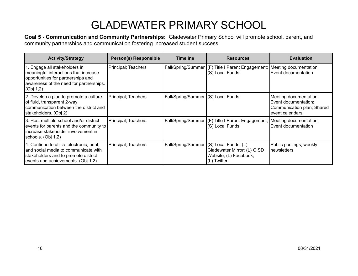**Goal 5 - Communication and Community Partnerships:** Gladewater Primary School will promote school, parent, and community partnerships and communication fostering increased student success.

| <b>Activity/Strategy</b>                                                                                                                                             | Person(s) Responsible | <b>Timeline</b>                    | <b>Resources</b>                                                                                | <b>Evaluation</b>                                                                               |
|----------------------------------------------------------------------------------------------------------------------------------------------------------------------|-----------------------|------------------------------------|-------------------------------------------------------------------------------------------------|-------------------------------------------------------------------------------------------------|
| 1. Engage all stakeholders in<br>meaningful interactions that increase<br>opportunities for partnerships and<br>awareness of the need for partnerships.<br>(Obj 1,2) | Principal; Teachers   |                                    | Fall/Spring/Summer   (F) Title I Parent Engagement;   Meeting documentation;<br>(S) Local Funds | Event documentation                                                                             |
| 2. Develop a plan to promote a culture<br>of fluid, transparent 2-way<br>communication between the district and<br>stakeholders. (Obj 2)                             | Principal; Teachers   | Fall/Spring/Summer (S) Local Funds |                                                                                                 | Meeting documentation;<br>Event documentation;<br>Communication plan; Shared<br>event calendars |
| 3. Host multiple school and/or district<br>events for parents and the community to<br>lincrease stakeholder involvement in<br>schools. (Obj 1,2)                     | Principal; Teachers   |                                    | Fall/Spring/Summer (F) Title I Parent Engagement;<br>(S) Local Funds                            | Meeting documentation;<br>Event documentation                                                   |
| 4. Continue to utilize electronic, print,<br>and social media to communicate with<br>stakeholders and to promote district<br>events and achievements. (Obj 1,2)      | Principal; Teachers   | Fall/Spring/Summer                 | (S) Local Funds; (L)<br>Gladewater Mirror; (L) GISD<br>Website; (L) Facebook;<br>(L) Twitter    | Public postings; weekly<br>newsletters                                                          |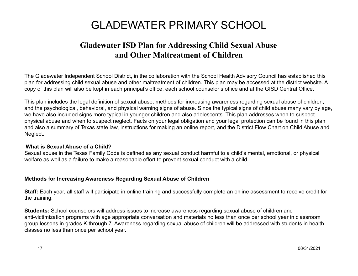## **Gladewater ISD Plan for Addressing Child Sexual Abuse and Other Maltreatment of Children**

The Gladewater Independent School District, in the collaboration with the School Health Advisory Council has established this plan for addressing child sexual abuse and other maltreatment of children. This plan may be accessed at the district website. A copy of this plan will also be kept in each principal's office, each school counselor's office and at the GISD Central Office.

This plan includes the legal definition of sexual abuse, methods for increasing awareness regarding sexual abuse of children, and the psychological, behavioral, and physical warning signs of abuse. Since the typical signs of child abuse many vary by age, we have also included signs more typical in younger children and also adolescents. This plan addresses when to suspect physical abuse and when to suspect neglect. Facts on your legal obligation and your legal protection can be found in this plan and also a summary of Texas state law, instructions for making an online report, and the District Flow Chart on Child Abuse and Neglect.

### **What is Sexual Abuse of a Child?**

Sexual abuse in the Texas Family Code is defined as any sexual conduct harmful to a child's mental, emotional, or physical welfare as well as a failure to make a reasonable effort to prevent sexual conduct with a child.

### **Methods for Increasing Awareness Regarding Sexual Abuse of Children**

**Staff:** Each year, all staff will participate in online training and successfully complete an online assessment to receive credit for the training.

**Students:** School counselors will address issues to increase awareness regarding sexual abuse of children and anti-victimization programs with age appropriate conversation and materials no less than once per school year in classroom group lessons in grades K through 7. Awareness regarding sexual abuse of children will be addressed with students in health classes no less than once per school year.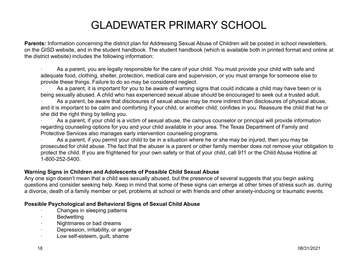**Parents:** Information concerning the district plan for Addressing Sexual Abuse of Children will be posted in school newsletters, on the GISD website, and in the student handbook. The student handbook (which is available both in printed format and online at the district website) includes the following information:

As a parent, you are legally responsible for the care of your child. You must provide your child with safe and adequate food, clothing, shelter, protection, medical care and supervision, or you must arrange for someone else to provide these things. Failure to do so may be considered neglect.

As a parent, it is important for you to be aware of warning signs that could indicate a child may have been or is being sexually abused. A child who has experienced sexual abuse should be encouraged to seek out a trusted adult.

As a parent, be aware that disclosures of sexual abuse may be more indirect than disclosures of physical abuse, and it is important to be calm and comforting if your child, or another child, confides in you. Reassure the child that he or she did the right thing by telling you.

As a parent, if your child is a victim of sexual abuse, the campus counselor or principal will provide information regarding counseling options for you and your child available in your area. The Texas Department of Family and Protective Services also manages early intervention counseling programs.

As a parent, if you permit your child to be in a situation where he or she may be injured, then you may be prosecuted for child abuse. The fact that the abuser is a parent or other family member does not remove your obligation to protect the child. If you are frightened for your own safety or that of your child, call 911 or the Child Abuse Hotline at 1-800-252-5400.

### **Warning Signs in Children and Adolescents of Possible Child Sexual Abuse**

Any one sign doesn't mean that a child was sexually abused, but the presence of several suggests that you begin asking questions and consider seeking help. Keep in mind that some of these signs can emerge at other times of stress such as: during a divorce, death of a family member or pet, problems at school or with friends and other anxiety-inducing or traumatic events.

### **Possible Psychological and Behavioral Signs of Sexual Child Abuse**

- Changes in sleeping patterns
- **Bedwetting**
- · Nightmares or bad dreams
- · Depression, irritability, or anger
- · Low self-esteem, guilt, shame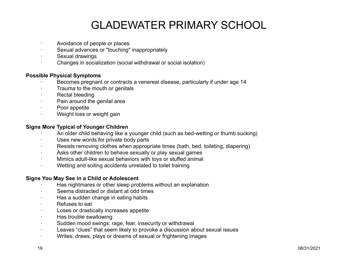- Avoidance of people or places
- Sexual advances or "touching" inappropriately
- Sexual drawings
- · Changes in socialization (social withdrawal or social isolation)

### **Possible Physical Symptoms**

- Becomes pregnant or contracts a venereal disease, particularly if under age 14
- Trauma to the mouth or genitals
- Rectal bleeding
- Pain around the genital area
- Poor appetite
- Weight loss or weight gain

### **Signs More Typical of Younger Children**

- · An older child behaving like a younger child (such as bed-wetting or thumb sucking)
- Uses new words for private body parts
- Resists removing clothes when appropriate times (bath, bed, toileting, diapering)
- · Asks other children to behave sexually or play sexual games
- · Mimics adult-like sexual behaviors with toys or stuffed animal
- · Wetting and soiling accidents unrelated to toilet training

#### **Signs You May See in a Child or Adolescent**

- Has nightmares or other sleep problems without an explanation
- Seems distracted or distant at odd times
- Has a sudden change in eating habits
- · Refuses to eat
- Loses or drastically increases appetite
- Has trouble swallowing
- · Sudden mood swings: rage, fear, insecurity or withdrawal
- · Leaves "clues" that seem likely to provoke a discussion about sexual issues
- · Writes, draws, plays or dreams of sexual or frightening images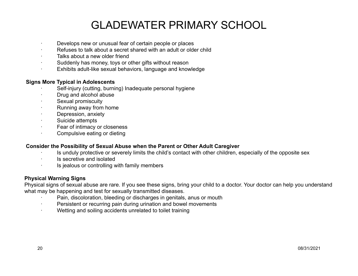- Develops new or unusual fear of certain people or places
- Refuses to talk about a secret shared with an adult or older child
- Talks about a new older friend
- Suddenly has money, toys or other gifts without reason
- Exhibits adult-like sexual behaviors, language and knowledge

### **Signs More Typical in Adolescents**

- Self-injury (cutting, burning) Inadequate personal hygiene
- · Drug and alcohol abuse
- Sexual promiscuity
- Running away from home
- Depression, anxiety
- Suicide attempts
- Fear of intimacy or closeness
- · Compulsive eating or dieting

### **Consider the Possibility of Sexual Abuse when the Parent or Other Adult Caregiver**

- Is unduly protective or severely limits the child's contact with other children, especially of the opposite sex
- Is secretive and isolated
- Is jealous or controlling with family members

### **Physical Warning Signs**

Physical signs of sexual abuse are rare. If you see these signs, bring your child to a doctor. Your doctor can help you understand what may be happening and test for sexually transmitted diseases.

- Pain, discoloration, bleeding or discharges in genitals, anus or mouth
- · Persistent or recurring pain during urination and bowel movements
- Wetting and soiling accidents unrelated to toilet training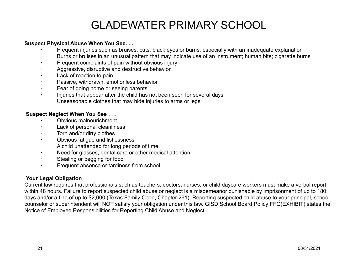### **Suspect Physical Abuse When You See. . .**

- Frequent injuries such as bruises, cuts, black eyes or burns, especially with an inadequate explanation
- · Burns or bruises in an unusual pattern that may indicate use of an instrument; human bite; cigarette burns
- Frequent complaints of pain without obvious injury
- Aggressive, disruptive and destructive behavior
- Lack of reaction to pain
- Passive, withdrawn, emotionless behavior
- Fear of going home or seeing parents
- · Injuries that appear after the child has not been seen for several days
- Unseasonable clothes that may hide injuries to arms or legs

### **Suspect Neglect When You See . . .**

- · Obvious malnourishment
- Lack of personal cleanliness
- Torn and/or dirty clothes
- · Obvious fatigue and listlessness
- · A child unattended for long periods of time
- · Need for glasses, dental care or other medical attention
- · Stealing or begging for food
- · Frequent absence or tardiness from school

### **Your Legal Obligation**

Current law requires that professionals such as teachers, doctors, nurses, or child daycare workers must make a verbal report within 48 hours. Failure to report suspected child abuse or neglect is a misdemeanor punishable by imprisonment of up to 180 days and/or a fine of up to \$2,000 (Texas Family Code, Chapter 261). Reporting suspected child abuse to your principal, school counselor or superintendent will NOT satisfy your obligation under this law. GISD School Board Policy FFG(EXHIBIT) states the Notice of Employee Responsibilities for Reporting Child Abuse and Neglect.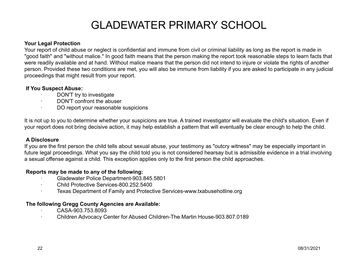### **Your Legal Protection**

Your report of child abuse or neglect is confidential and immune from civil or criminal liability as long as the report is made in "good faith" and "without malice." In good faith means that the person making the report took reasonable steps to learn facts that were readily available and at hand. Without malice means that the person did not intend to injure or violate the rights of another person. Provided these two conditions are met, you will also be immune from liability if you are asked to participate in any judicial proceedings that might result from your report.

### **If You Suspect Abuse:**

- DON'T try to investigate
- DON'T confront the abuser
- DO report your reasonable suspicions

It is not up to you to determine whether your suspicions are true. A trained investigator will evaluate the child's situation. Even if your report does not bring decisive action, it may help establish a pattern that will eventually be clear enough to help the child.

### **A Disclosure**

If you are the first person the child tells about sexual abuse, your testimony as "outcry witness" may be especially important in future legal proceedings. What you say the child told you is not considered hearsay but is admissible evidence in a trial involving a sexual offense against a child. This exception applies only to the first person the child approaches.

### **Reports may be made to any of the following:**

- · Gladewater Police Department-903.845.5801
- · Child Protective Services-800.252.5400
- · Texas Department of Family and Protective Services-www.txabusehotline.org

### **The following Gregg County Agencies are Available:**

- · CASA-903.753.8093
- · Children Advocacy Center for Abused Children-The Martin House-903.807.0189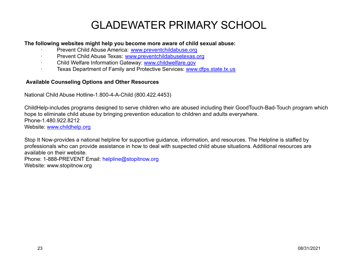### **The following websites might help you become more aware of child sexual abuse:**

- Prevent Child Abuse America: [www.preventchildabuse.org](http://www.preventchildabuse.org)
- · Prevent Child Abuse Texas: [www.preventchildabusetexas.org](http://www.preventchildabusetexas.org)
- Child Welfare Information Gateway: [www.childwelfare.gov](http://www.childwelfare.gov)
- · Texas Department of Family and Protective Services: [www.dfps.state.tx.us](http://www.dfps.state.tx.us)

### **Available Counseling Options and Other Resources**

National Child Abuse Hotline-1.800-4-A-Child (800.422.4453)

ChildHelp-includes programs designed to serve children who are abused including their GoodTouch-Bad-Touch program which hope to eliminate child abuse by bringing prevention education to children and adults everywhere. Phone-1.480.922.8212 Website: [www.childhelp.org](http://www.childhelp.org)

Stop It Now-provides a national helpline for supportive guidance, information, and resources. The Helpline is staffed by professionals who can provide assistance in how to deal with suspected child abuse situations. Additional resources are available on their website.

Phone: 1-888-PREVENT Email: helpline@stopitnow.org Website: www.stopitnow.org